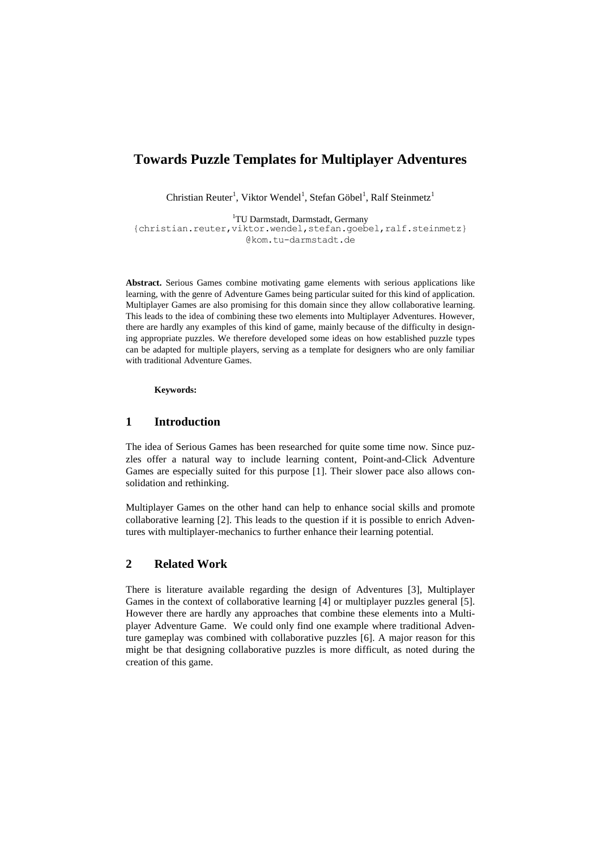# **Towards Puzzle Templates for Multiplayer Adventures**

Christian Reuter<sup>1</sup>, Viktor Wendel<sup>1</sup>, Stefan Göbel<sup>1</sup>, Ralf Steinmetz<sup>1</sup>

<sup>1</sup>TU Darmstadt, Darmstadt, Germany {christian.reuter,viktor.wendel,stefan.goebel,ralf.steinmetz} @kom.tu-darmstadt.de

**Abstract.** Serious Games combine motivating game elements with serious applications like learning, with the genre of Adventure Games being particular suited for this kind of application. Multiplayer Games are also promising for this domain since they allow collaborative learning. This leads to the idea of combining these two elements into Multiplayer Adventures. However, there are hardly any examples of this kind of game, mainly because of the difficulty in designing appropriate puzzles. We therefore developed some ideas on how established puzzle types can be adapted for multiple players, serving as a template for designers who are only familiar with traditional Adventure Games.

#### **Keywords:**

#### **1 Introduction**

The idea of Serious Games has been researched for quite some time now. Since puzzles offer a natural way to include learning content, Point-and-Click Adventure Games are especially suited for this purpose [1]. Their slower pace also allows consolidation and rethinking.

Multiplayer Games on the other hand can help to enhance social skills and promote collaborative learning [2]. This leads to the question if it is possible to enrich Adventures with multiplayer-mechanics to further enhance their learning potential.

### **2 Related Work**

There is literature available regarding the design of Adventures [3], Multiplayer Games in the context of collaborative learning [4] or multiplayer puzzles general [5]. However there are hardly any approaches that combine these elements into a Multiplayer Adventure Game. We could only find one example where traditional Adventure gameplay was combined with collaborative puzzles [6]. A major reason for this might be that designing collaborative puzzles is more difficult, as noted during the creation of this game.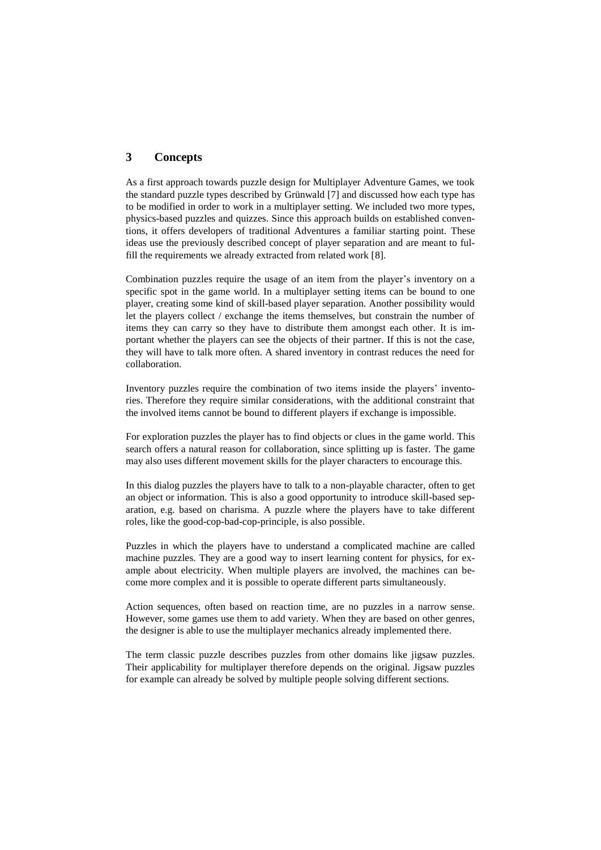## **3 Concepts**

As a first approach towards puzzle design for Multiplayer Adventure Games, we took the standard puzzle types described by Grünwald [7] and discussed how each type has to be modified in order to work in a multiplayer setting. We included two more types, physics-based puzzles and quizzes. Since this approach builds on established conventions, it offers developers of traditional Adventures a familiar starting point. These ideas use the previously described concept of player separation and are meant to fulfill the requirements we already extracted from related work [8].

Combination puzzles require the usage of an item from the player's inventory on a specific spot in the game world. In a multiplayer setting items can be bound to one player, creating some kind of skill-based player separation. Another possibility would let the players collect / exchange the items themselves, but constrain the number of items they can carry so they have to distribute them amongst each other. It is important whether the players can see the objects of their partner. If this is not the case, they will have to talk more often. A shared inventory in contrast reduces the need for collaboration.

Inventory puzzles require the combination of two items inside the players' inventories. Therefore they require similar considerations, with the additional constraint that the involved items cannot be bound to different players if exchange is impossible.

For exploration puzzles the player has to find objects or clues in the game world. This search offers a natural reason for collaboration, since splitting up is faster. The game may also uses different movement skills for the player characters to encourage this.

In this dialog puzzles the players have to talk to a non-playable character, often to get an object or information. This is also a good opportunity to introduce skill-based separation, e.g. based on charisma. A puzzle where the players have to take different roles, like the good-cop-bad-cop-principle, is also possible.

Puzzles in which the players have to understand a complicated machine are called machine puzzles. They are a good way to insert learning content for physics, for example about electricity. When multiple players are involved, the machines can become more complex and it is possible to operate different parts simultaneously.

Action sequences, often based on reaction time, are no puzzles in a narrow sense. However, some games use them to add variety. When they are based on other genres, the designer is able to use the multiplayer mechanics already implemented there.

The term classic puzzle describes puzzles from other domains like jigsaw puzzles. Their applicability for multiplayer therefore depends on the original. Jigsaw puzzles for example can already be solved by multiple people solving different sections.